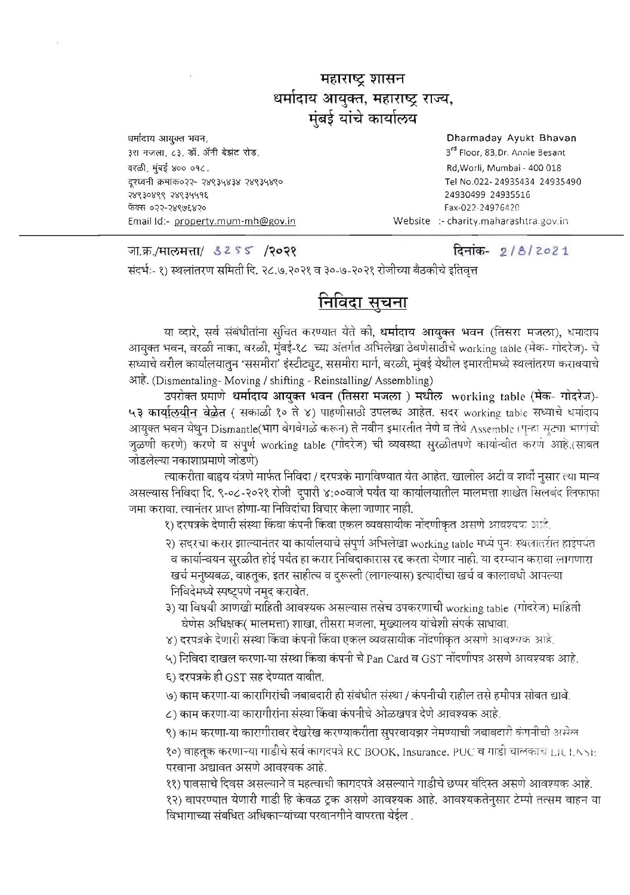## महाराष्ट्र शासन धर्मादाय आयुक्त, महाराष्ट्र राज्य, मंबई यांचे कार्यालय

धर्मादाय आयुक्त भवन, ३रा मजला, ८३, डॉ. ॲनी बेझंट रोड, वरळी. मंबई ४०० ०१८. दुरध्वनी क्रमांक०२२- २४९३५४३४ २४९३५४९० 78930899 78934495 फॅक्स ०२२-२४९७६४२० Email Id:- property.mum-mh@gov.in

Dharmaday Ayukt Bhavan 3<sup>rd</sup> Floor, 83, Dr. Annie Besant Rd, Worli, Mumbai - 400 018 Tel No.022-24935434 24935490 24930499 24935516 Fax-022-24976420 Website :- charity.maharashtra.gov.in

जा.क्र./मालमत्ता/ 3255 /२०२१

दिनांक- 2/8/2021

संदर्भ:- १) स्थलांतरण समिती दि. २८.७.२०२१ व ३०-७-२०२१ रोजीच्या बैठकीचे इतिवृत्त

## <u>निविदा सूचना</u>

या व्दारे, सर्व संबंधीतांना सुचित करण्यात येते को, <mark>धर्मादाय आयुक्त भवन</mark> (तिसरा मजला), धमादाव आयुक्त भवन, वरळी नाका, वरळी, मुंबई-१८ च्या अंतर्गत अभिलेखा ठेवणेसाठीचे working table (मेक- गोदरेज)- चे सध्याचे वरील कार्यालयातून 'ससमीरा' इंस्टीट्यूट, ससमीरा मार्ग, वरळी, मुंबई येथील इमारतीमध्ये स्थलांतरण करावयाचे आहे. (Dismentaling-Moving / shifting - Reinstalling/ Assembling)

उपरोक्त प्रमाणे धर्मादाय आयुक्त भवन (तिसरा मजला ) मधील working table (मेक- गोदरेज)-५३ कार्यालयीन वेळेत ( सकाळी १० ते ४) पाहणीसाठी उपलब्ध आहेत. सदर working table सध्याचे धर्मादाव आयुक्त भवन येथुन Dismantle(भाग बेगबेगळे करून) ते नवीन इमारतीत नेणे व तेथे Assemble (पुन्हा सुट्या भागांची जुळणी करणे) करणे व संपूर्ण working table (गोदरेज) ची व्यवस्था सुरळीतपणे कार्यान्वीत करणे आहे.(साबत जोडलेल्या नकाशाप्रमाणे जोडणे)

त्याकरीता बाहृय यंत्रणे मार्फत निविदा / दरपत्रके मार्गावण्यात येत आहेत. खालोल अटी व शर्थी नुसार त्या मान्य असल्यास निबिदा दि. ९-०८-२०२१ रोजी दुपारी ४:००वाजे पर्यंत या कार्यालयातील मालमत्ता शाखेत सिलबंद लिफाफा जमा करावा. त्यानंतर प्राप्त होणा-या निविदांचा विचार केला जाणार नाही.

१) दरपत्रके देणारी संस्था किंवा कंपनी किंवा एकल व्यवसायीक नोंदणीकृत असणे आवश्यक आहे.

२) सदरचा करार झाल्यानंतर या कार्यालयाचे संपूर्ण अभिलेखा working table मध्ये पुनः स्थलातरीत हाइंपर्यंत व कार्यान्वयन सुरळीत होई पर्यंत हा करार निविदाकारास रद्द करता येणार नाही. या दरम्यान करावा लागणारा खर्च मनुष्यबळ, वाहतुक, इतर साहीत्य व दुरूस्ती (लागल्यास) इत्यादींचा खर्च व कालावधी आपल्या निविदेमध्ये स्पष्ट्पणे नमुद करावेत.

३) या विषयी आणखी माहिती आवश्यक असल्यास तसेच उपकरणाची working table (गोदरेज) माहिती घेणेस अधिक्षक( मालमत्ता) शाखा, तीसरा मजला, मुख्यालय यांचेशी संपर्क साधावा.

४) दरपत्रके देणारी संस्था किंवा कंपनी किंवा एकल व्यवसायीक नोंदणीकृत असणे आवश्यक आहे.

५) निविदा दाखल करणा-या संस्था किंवा कंपनी चे Pan Card व GST नोंदणीपत्र असणे आवश्यक आहे.

६) दरपत्रके ही GST सह देण्यात यावीत.

७) काम करणा-या कारागिरांची जबाबदारी ही संबंधीत संस्था / कंपनीची राहील तसे हमीपत्र सोबत द्यावे.

८) काम करणा-या कारागीरांना संस्था किंवा कंपनीचे ओळखपत्र देणे आवश्यक आहे.

९) काम करणा-या कारागीरावर देखरेख करण्याकरीता सुपरवायझर नेमण्याची जबाबटारी कंपनीची असेल

१०) वाहतूक करणाऱ्या गाडीचे सर्व कागदपत्रे RC BOOK, Insurance. PUC व गाडी चालकाचे LICENSE परवाना अद्यावत असणे आवश्यक आहे.

११) पावसाचे दिवस असल्याने व महत्वाची कागदपत्रे असल्याने गाडीचे छप्पर बंदिस्त असणे आवश्यक आहे.

१२) वापरण्यात येणारी गाडी हि केवळ ट्रक असणे आवश्यक आहे. आवश्यकतेनुसार टेम्पो तत्सम वाहन या विभागाच्या संबधित अधिकाऱ्यांच्या परवानगीने वापरता येईल .